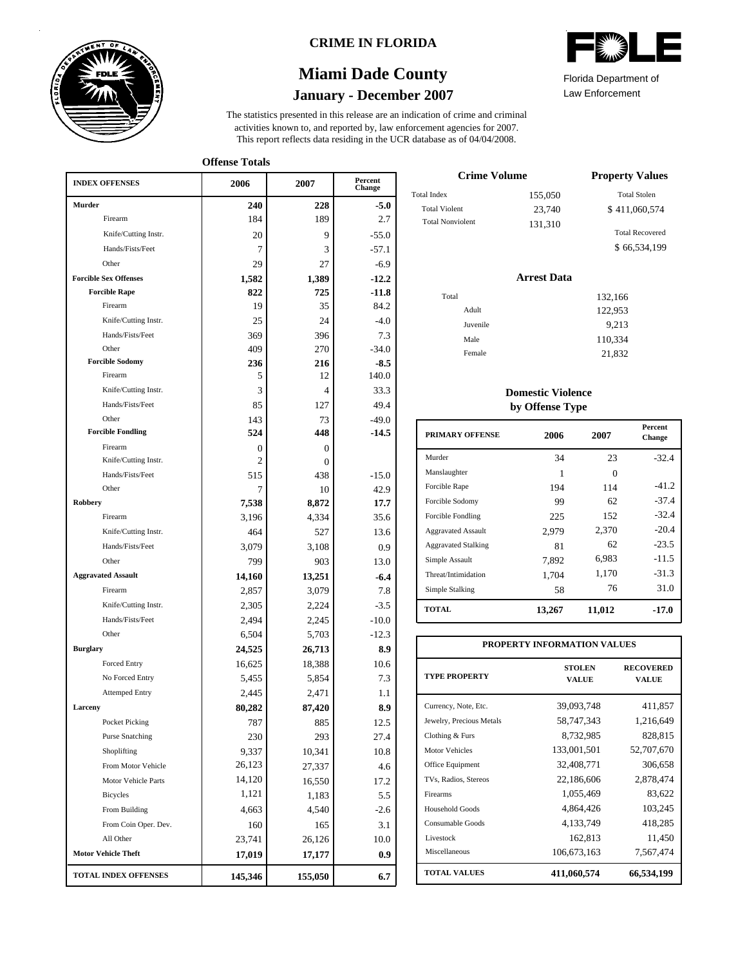

### **CRIME IN FLORIDA**

# **January - December 2007 Miami Dade County**

This report reflects data residing in the UCR database as of 04/04/2008. activities known to, and reported by, law enforcement agencies for 2007. The statistics presented in this release are an indication of crime and criminal

**Offense Totals**

| <b>INDEX OFFENSES</b>             | 2006                | 2007                  | Percent<br>Change  |
|-----------------------------------|---------------------|-----------------------|--------------------|
| Murder                            | 240                 | 228                   | $-5.0$             |
| Firearm                           | 184                 | 189                   | 2.7                |
| Knife/Cutting Instr.              | 20                  | 9                     | $-55.0$            |
| Hands/Fists/Feet                  | 7                   | 3                     | $-57.1$            |
| Other                             | 29                  | 27                    | $-6.9$             |
| <b>Forcible Sex Offenses</b>      | 1,582               | 1,389                 | $-12.2$            |
| <b>Forcible Rape</b>              | 822                 | 725                   | $-11.8$            |
| Firearm                           | 19                  | 35                    | 84.2               |
| Knife/Cutting Instr.              | 25                  | 24                    | $-4.0$             |
| Hands/Fists/Feet                  | 369                 | 396                   | 7.3                |
| Other                             | 409                 | 270                   | $-34.0$            |
| <b>Forcible Sodomy</b><br>Firearm | 236                 | 216                   | $-8.5$             |
|                                   | 5                   | 12                    | 140.0              |
| Knife/Cutting Instr.              | 3                   | 4                     | 33.3               |
| Hands/Fists/Feet<br>Other         | 85                  | 127                   | 49.4               |
| <b>Forcible Fondling</b>          | 143<br>524          | 73<br>448             | $-49.0$<br>$-14.5$ |
| Firearm                           |                     |                       |                    |
| Knife/Cutting Instr.              | 0<br>$\overline{c}$ | 0<br>$\boldsymbol{0}$ |                    |
| Hands/Fists/Feet                  | 515                 | 438                   | $-15.0$            |
| Other                             | 7                   | 10                    | 42.9               |
| <b>Robbery</b>                    | 7,538               | 8,872                 | 17.7               |
| Firearm                           | 3,196               | 4,334                 | 35.6               |
| Knife/Cutting Instr.              | 464                 | 527                   | 13.6               |
| Hands/Fists/Feet                  | 3,079               | 3,108                 | 0.9                |
| Other                             | 799                 | 903                   | 13.0               |
| <b>Aggravated Assault</b>         | 14,160              | 13,251                | $-6.4$             |
| Firearm                           | 2,857               | 3,079                 | 7.8                |
| Knife/Cutting Instr.              | 2,305               | 2,224                 | $-3.5$             |
| Hands/Fists/Feet                  | 2,494               | 2,245                 | $-10.0$            |
| Other                             | 6,504               | 5,703                 | $-12.3$            |
| <b>Burglary</b>                   | 24,525              | 26,713                | 8.9                |
| <b>Forced Entry</b>               | 16,625              | 18,388                | 10.6               |
| No Forced Entry                   | 5,455               | 5,854                 | 7.3                |
| <b>Attemped Entry</b>             | 2,445               | 2,471                 | 1.1                |
| Larceny                           | 80,282              | 87,420                | 8.9                |
| Pocket Picking                    | 787                 | 885                   | 12.5               |
| <b>Purse Snatching</b>            | 230                 | 293                   | 27.4               |
| Shoplifting                       | 9,337               | 10,341                | 10.8               |
| From Motor Vehicle                | 26,123              | 27,337                | 4.6                |
| Motor Vehicle Parts               | 14,120              | 16,550                | 17.2               |
| <b>Bicycles</b>                   | 1,121               | 1,183                 | 5.5                |
| From Building                     | 4,663               | 4,540                 | $-2.6$             |
| From Coin Oper. Dev.              | 160                 | 165                   | 3.1                |
| All Other                         | 23,741              | 26,126                | 10.0               |
| <b>Motor Vehicle Theft</b>        | 17,019              | 17,177                | 0.9                |
| TOTAL INDEX OFFENSES              | 145,346             | 155,050               | 6.7                |

| ◚<br>÷.<br>تعددونه<br>× |
|-------------------------|
|-------------------------|

Law Enforcement Florida Department of

| <b>Crime Volume</b>     | <b>Property Values</b> |                        |
|-------------------------|------------------------|------------------------|
| Total Index             | 155,050                | <b>Total Stolen</b>    |
| <b>Total Violent</b>    | 23.740                 | \$411,060,574          |
| <b>Total Nonviolent</b> | 131,310                | <b>Total Recovered</b> |
|                         |                        | \$66,534,199           |

#### **Arrest Data**

| Total |          | 132,166 |
|-------|----------|---------|
|       | Adult    | 122,953 |
|       | Juvenile | 9,213   |
|       | Male     | 110,334 |
|       | Female   | 21,832  |
|       |          |         |

### **Domestic Violence by Offense Type**

| <b>PRIMARY OFFENSE</b>     | 2006   | 2007   | <b>Percent</b><br>Change |
|----------------------------|--------|--------|--------------------------|
| Murder                     | 34     | 23     | $-32.4$                  |
| Manslaughter               | 1      | 0      |                          |
| Forcible Rape              | 194    | 114    | $-41.2$                  |
| Forcible Sodomy            | 99     | 62     | $-37.4$                  |
| Forcible Fondling          | 225    | 152    | $-32.4$                  |
| <b>Aggravated Assault</b>  | 2,979  | 2,370  | $-20.4$                  |
| <b>Aggravated Stalking</b> | 81     | 62     | $-23.5$                  |
| Simple Assault             | 7.892  | 6,983  | $-11.5$                  |
| Threat/Intimidation        | 1,704  | 1,170  | $-31.3$                  |
| Simple Stalking            | 58     | 76     | 31.0                     |
| <b>TOTAL</b>               | 13,267 | 11,012 | $-17.0$                  |

| PROPERTY INFORMATION VALUES |                               |                                  |  |  |  |  |  |  |
|-----------------------------|-------------------------------|----------------------------------|--|--|--|--|--|--|
| <b>TYPE PROPERTY</b>        | <b>STOLEN</b><br><b>VALUE</b> | <b>RECOVERED</b><br><b>VALUE</b> |  |  |  |  |  |  |
| Currency, Note, Etc.        | 39,093,748                    | 411,857                          |  |  |  |  |  |  |
| Jewelry, Precious Metals    | 58,747,343                    | 1,216,649                        |  |  |  |  |  |  |
| Clothing & Furs             | 8,732,985                     | 828,815                          |  |  |  |  |  |  |
| <b>Motor Vehicles</b>       | 133,001,501                   | 52,707,670                       |  |  |  |  |  |  |
| Office Equipment            | 32,408,771                    | 306,658                          |  |  |  |  |  |  |
| TVs, Radios, Stereos        | 22,186,606                    | 2,878,474                        |  |  |  |  |  |  |
| Firearms                    | 1,055,469                     | 83,622                           |  |  |  |  |  |  |
| <b>Household Goods</b>      | 4,864,426                     | 103,245                          |  |  |  |  |  |  |
| Consumable Goods            | 4,133,749                     | 418,285                          |  |  |  |  |  |  |
| Livestock                   | 162,813                       | 11,450                           |  |  |  |  |  |  |
| Miscellaneous               | 106,673,163                   | 7,567,474                        |  |  |  |  |  |  |
| <b>TOTAL VALUES</b>         | 411,060,574                   | 66,534,199                       |  |  |  |  |  |  |